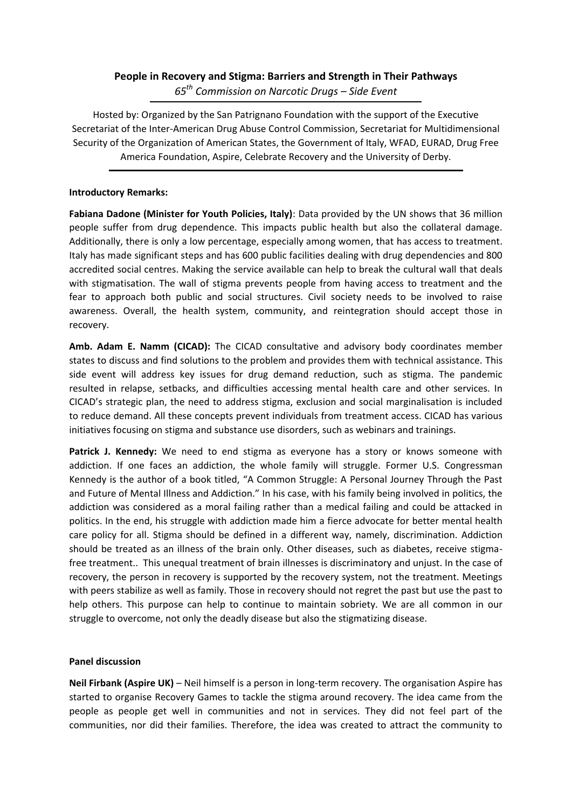## **People in Recovery and Stigma: Barriers and Strength in Their Pathways** *65th Commission on Narcotic Drugs – Side Event*

Hosted by: Organized by the San Patrignano Foundation with the support of the Executive Secretariat of the Inter-American Drug Abuse Control Commission, Secretariat for Multidimensional Security of the Organization of American States, the Government of Italy, WFAD, EURAD, Drug Free America Foundation, Aspire, Celebrate Recovery and the University of Derby.

## **Introductory Remarks:**

**Fabiana Dadone (Minister for Youth Policies, Italy)**: Data provided by the UN shows that 36 million people suffer from drug dependence. This impacts public health but also the collateral damage. Additionally, there is only a low percentage, especially among women, that has access to treatment. Italy has made significant steps and has 600 public facilities dealing with drug dependencies and 800 accredited social centres. Making the service available can help to break the cultural wall that deals with stigmatisation. The wall of stigma prevents people from having access to treatment and the fear to approach both public and social structures. Civil society needs to be involved to raise awareness. Overall, the health system, community, and reintegration should accept those in recovery.

**Amb. Adam E. Namm (CICAD):** The CICAD consultative and advisory body coordinates member states to discuss and find solutions to the problem and provides them with technical assistance. This side event will address key issues for drug demand reduction, such as stigma. The pandemic resulted in relapse, setbacks, and difficulties accessing mental health care and other services. In CICAD's strategic plan, the need to address stigma, exclusion and social marginalisation is included to reduce demand. All these concepts prevent individuals from treatment access. CICAD has various initiatives focusing on stigma and substance use disorders, such as webinars and trainings.

**Patrick J. Kennedy:** We need to end stigma as everyone has a story or knows someone with addiction. If one faces an addiction, the whole family will struggle. Former U.S. Congressman Kennedy is the author of a book titled, "A Common Struggle: A Personal Journey Through the Past and Future of Mental Illness and Addiction." In his case, with his family being involved in politics, the addiction was considered as a moral failing rather than a medical failing and could be attacked in politics. In the end, his struggle with addiction made him a fierce advocate for better mental health care policy for all. Stigma should be defined in a different way, namely, discrimination. Addiction should be treated as an illness of the brain only. Other diseases, such as diabetes, receive stigmafree treatment.. This unequal treatment of brain illnesses is discriminatory and unjust. In the case of recovery, the person in recovery is supported by the recovery system, not the treatment. Meetings with peers stabilize as well as family. Those in recovery should not regret the past but use the past to help others. This purpose can help to continue to maintain sobriety. We are all common in our struggle to overcome, not only the deadly disease but also the stigmatizing disease.

## **Panel discussion**

**Neil Firbank (Aspire UK)** – Neil himself is a person in long-term recovery. The organisation Aspire has started to organise Recovery Games to tackle the stigma around recovery. The idea came from the people as people get well in communities and not in services. They did not feel part of the communities, nor did their families. Therefore, the idea was created to attract the community to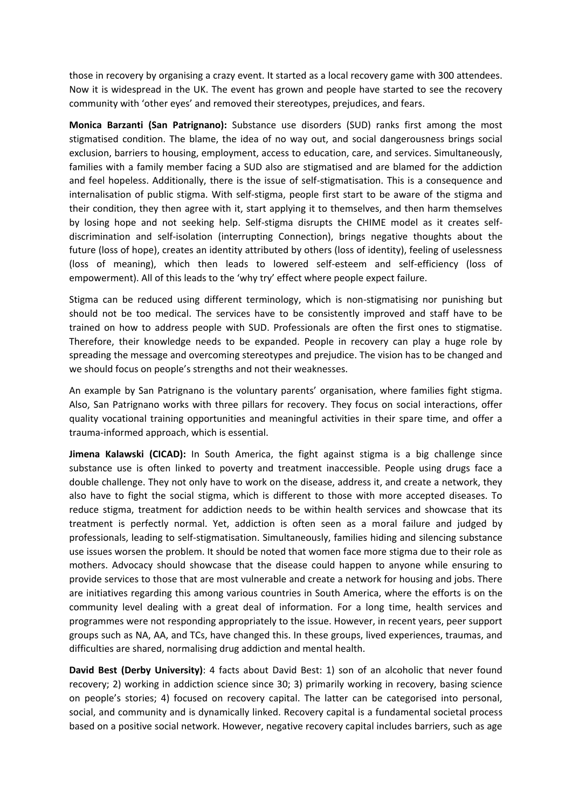those in recovery by organising a crazy event. It started as a local recovery game with 300 attendees. Now it is widespread in the UK. The event has grown and people have started to see the recovery community with 'other eyes' and removed their stereotypes, prejudices, and fears.

**Monica Barzanti (San Patrignano):** Substance use disorders (SUD) ranks first among the most stigmatised condition. The blame, the idea of no way out, and social dangerousness brings social exclusion, barriers to housing, employment, access to education, care, and services. Simultaneously, families with a family member facing a SUD also are stigmatised and are blamed for the addiction and feel hopeless. Additionally, there is the issue of self-stigmatisation. This is a consequence and internalisation of public stigma. With self-stigma, people first start to be aware of the stigma and their condition, they then agree with it, start applying it to themselves, and then harm themselves by losing hope and not seeking help. Self-stigma disrupts the CHIME model as it creates selfdiscrimination and self-isolation (interrupting Connection), brings negative thoughts about the future (loss of hope), creates an identity attributed by others (loss of identity), feeling of uselessness (loss of meaning), which then leads to lowered self-esteem and self-efficiency (loss of empowerment). All of this leads to the 'why try' effect where people expect failure.

Stigma can be reduced using different terminology, which is non-stigmatising nor punishing but should not be too medical. The services have to be consistently improved and staff have to be trained on how to address people with SUD. Professionals are often the first ones to stigmatise. Therefore, their knowledge needs to be expanded. People in recovery can play a huge role by spreading the message and overcoming stereotypes and prejudice. The vision has to be changed and we should focus on people's strengths and not their weaknesses.

An example by San Patrignano is the voluntary parents' organisation, where families fight stigma. Also, San Patrignano works with three pillars for recovery. They focus on social interactions, offer quality vocational training opportunities and meaningful activities in their spare time, and offer a trauma-informed approach, which is essential.

**Jimena Kalawski (CICAD):** In South America, the fight against stigma is a big challenge since substance use is often linked to poverty and treatment inaccessible. People using drugs face a double challenge. They not only have to work on the disease, address it, and create a network, they also have to fight the social stigma, which is different to those with more accepted diseases. To reduce stigma, treatment for addiction needs to be within health services and showcase that its treatment is perfectly normal. Yet, addiction is often seen as a moral failure and judged by professionals, leading to self-stigmatisation. Simultaneously, families hiding and silencing substance use issues worsen the problem. It should be noted that women face more stigma due to their role as mothers. Advocacy should showcase that the disease could happen to anyone while ensuring to provide services to those that are most vulnerable and create a network for housing and jobs. There are initiatives regarding this among various countries in South America, where the efforts is on the community level dealing with a great deal of information. For a long time, health services and programmes were not responding appropriately to the issue. However, in recent years, peer support groups such as NA, AA, and TCs, have changed this. In these groups, lived experiences, traumas, and difficulties are shared, normalising drug addiction and mental health.

**David Best (Derby University)**: 4 facts about David Best: 1) son of an alcoholic that never found recovery; 2) working in addiction science since 30; 3) primarily working in recovery, basing science on people's stories; 4) focused on recovery capital. The latter can be categorised into personal, social, and community and is dynamically linked. Recovery capital is a fundamental societal process based on a positive social network. However, negative recovery capital includes barriers, such as age